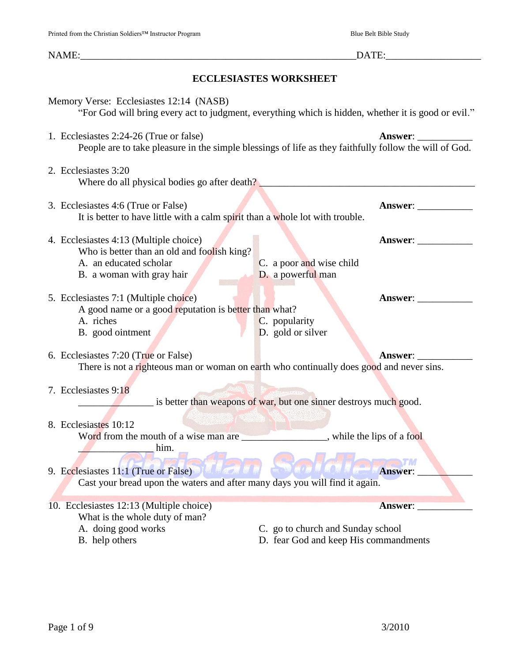| I finited from the Christian Soldiers--- filstructur I fuglam                                                                                | Druc Deit Druc Drug                                                                                                                                                                                                            |
|----------------------------------------------------------------------------------------------------------------------------------------------|--------------------------------------------------------------------------------------------------------------------------------------------------------------------------------------------------------------------------------|
|                                                                                                                                              | DATE: North States and States and States and States and States and States and States and States and States and States and States and States and States and States and States and States and States and States and States and S |
|                                                                                                                                              | <b>ECCLESIASTES WORKSHEET</b>                                                                                                                                                                                                  |
| Memory Verse: Ecclesiastes 12:14 (NASB)                                                                                                      | "For God will bring every act to judgment, everything which is hidden, whether it is good or evil."                                                                                                                            |
| 1. Ecclesiastes 2:24-26 (True or false)                                                                                                      | Answer:<br>People are to take pleasure in the simple blessings of life as they faithfully follow the will of God.                                                                                                              |
| 2. Ecclesiastes 3:20                                                                                                                         | Where do all physical bodies go after death?                                                                                                                                                                                   |
| 3. Ecclesiastes 4:6 (True or False)<br>It is better to have little with a calm spirit than a whole lot with trouble.                         |                                                                                                                                                                                                                                |
| 4. Ecclesiastes 4:13 (Multiple choice)<br>Who is better than an old and foolish king?<br>A. an educated scholar<br>B. a woman with gray hair | Answer:<br>C. a poor and wise child<br>D. a powerful man                                                                                                                                                                       |
| 5. Ecclesiastes 7:1 (Multiple choice)<br>A good name or a good reputation is better than what?<br>A. riches<br>B. good ointment              | Answer:<br>C. popularity<br>D. gold or silver                                                                                                                                                                                  |
| 6. Ecclesiastes 7:20 (True or False)                                                                                                         | Answer: $\_\_$<br>There is not a righteous man or woman on earth who continually does good and never sins.                                                                                                                     |
| 7. Ecclesiastes 9:18                                                                                                                         | is better than weapons of war, but one sinner destroys much good.                                                                                                                                                              |

### 8. Ecclesiastes 10:12

Word from the mouth of a wise man are \_\_\_\_\_\_\_\_\_\_\_\_\_\_, while the lips of a fool \_\_\_\_\_\_\_\_\_\_\_\_\_\_\_ him.

# 9. Ecclesiastes 11:1 (True or False) **Answer:**

Cast your bread upon the waters and after many days you will find it again.

# 10. Ecclesiastes 12:13 (Multiple choice) **Answer**: What is the whole duty of man?<br>A. doing good works

- C. go to church and Sunday school
- B. help others D. fear God and keep His commandments

**TM**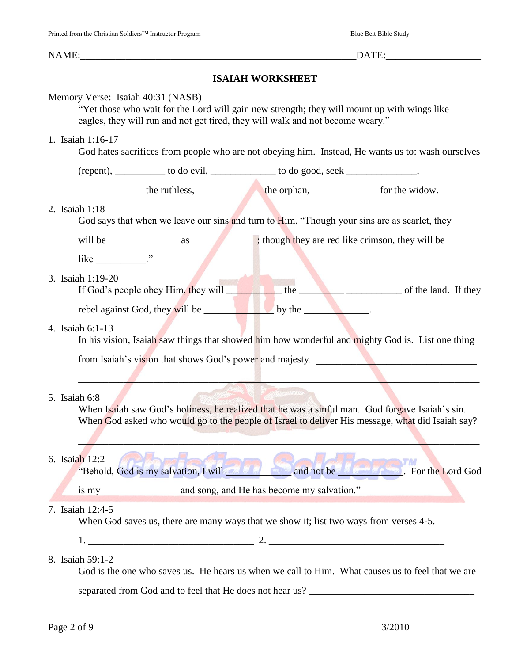# **ISAIAH WORKSHEET**

| Memory Verse: Isaiah 40:31 (NASB) | eagles, they will run and not get tired, they will walk and not become weary."                                                                                                                                                 | "Yet those who wait for the Lord will gain new strength; they will mount up with wings like                                                                                                         |
|-----------------------------------|--------------------------------------------------------------------------------------------------------------------------------------------------------------------------------------------------------------------------------|-----------------------------------------------------------------------------------------------------------------------------------------------------------------------------------------------------|
| 1. Isaiah 1:16-17                 |                                                                                                                                                                                                                                | God hates sacrifices from people who are not obeying him. Instead, He wants us to: wash ourselves                                                                                                   |
|                                   | (repent), ___________ to do evil, ______________ to do good, seek ______________,                                                                                                                                              |                                                                                                                                                                                                     |
|                                   | the ruthless, the orphan, the orphan, for the widow.                                                                                                                                                                           |                                                                                                                                                                                                     |
| 2. Isaiah 1:18                    |                                                                                                                                                                                                                                | God says that when we leave our sins and turn to Him, "Though your sins are as scarlet, they                                                                                                        |
|                                   |                                                                                                                                                                                                                                |                                                                                                                                                                                                     |
| like $\frac{1}{2}$ $\frac{1}{2}$  |                                                                                                                                                                                                                                |                                                                                                                                                                                                     |
| 3. Isaiah 1:19-20                 |                                                                                                                                                                                                                                | If God's people obey Him, they will the the contract of the land. If they                                                                                                                           |
|                                   | rebel against God, they will be seen the by the series by the series of the series of the series of the series of the series of the series of the series of the series of the series of the series of the series of the series |                                                                                                                                                                                                     |
| 4. Isaiah 6:1-13                  |                                                                                                                                                                                                                                | In his vision, Isaiah saw things that showed him how wonderful and mighty God is. List one thing                                                                                                    |
|                                   |                                                                                                                                                                                                                                | from Isaiah's vision that shows God's power and majesty.                                                                                                                                            |
| 5. Isaiah 6:8                     |                                                                                                                                                                                                                                | When Isaiah saw God's holiness, he realized that he was a sinful man. God forgave Isaiah's sin.<br>When God asked who would go to the people of Israel to deliver His message, what did Isaiah say? |
| 6. Isaiah 12:2                    |                                                                                                                                                                                                                                | <b>NATIONAL TIM</b><br>"Behold, God is my salvation, I will would be and not be with the same. For the Lord God                                                                                     |
|                                   |                                                                                                                                                                                                                                |                                                                                                                                                                                                     |
| 7. Isaiah 12:4-5                  | When God saves us, there are many ways that we show it; list two ways from verses 4-5.                                                                                                                                         |                                                                                                                                                                                                     |
|                                   |                                                                                                                                                                                                                                |                                                                                                                                                                                                     |
| 8. Isaiah 59:1-2                  |                                                                                                                                                                                                                                | God is the one who saves us. He hears us when we call to Him. What causes us to feel that we are                                                                                                    |
|                                   |                                                                                                                                                                                                                                |                                                                                                                                                                                                     |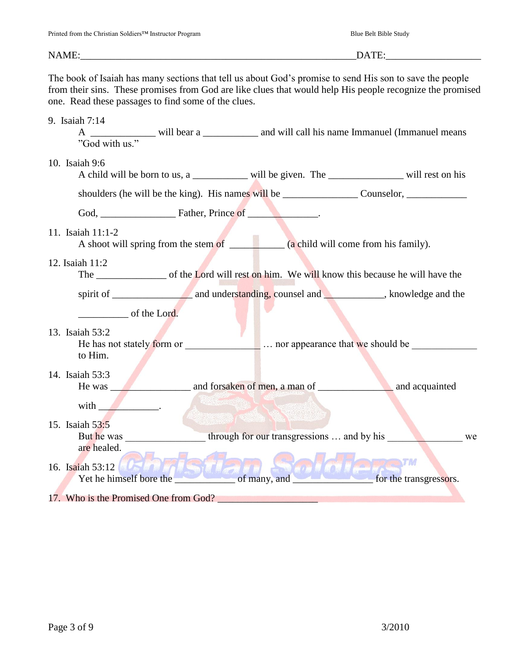#### NAME: THE CONSTRUCTED STATE OF THE CONSTRUCTION OF THE CONSTRUCTION OF THE CONSTRUCTION OF THE CONSTRUCTION OF THE CONSTRUCTION OF THE CONSTRUCTION OF THE CONSTRUCTION OF THE CONSTRUCTION OF THE CONSTRUCTION OF THE CONSTRU

The book of Isaiah has many sections that tell us about God's promise to send His son to save the people from their sins. These promises from God are like clues that would help His people recognize the promised one. Read these passages to find some of the clues.

#### 9. Isaiah 7:14

A \_\_\_\_\_\_\_\_\_\_\_\_\_\_ will bear a \_\_\_\_\_\_\_\_\_\_\_\_ and will call his name Immanuel (Immanuel means "God with us."

#### 10. Isaiah 9:6

| A child will be born to us, a | will be given. The | will rest on his |
|-------------------------------|--------------------|------------------|
|                               |                    |                  |

shoulders (he will be the king). His names will be <br>Counselor,

God, Father, Prince of

#### 11. Isaiah 11:1-2

A shoot will spring from the stem of  $\qquad$  (a child will come from his family).

#### 12. Isaiah 11:2

The \_\_\_\_\_\_\_\_\_\_\_\_\_\_\_\_\_\_\_\_\_\_\_ of the Lord will rest on him. We will know this because he will have the

spirit of \_\_\_\_\_\_\_\_\_\_\_\_\_\_\_\_ and understanding, counsel and \_\_\_\_\_\_\_\_\_\_\_\_, knowledge and the

of the Lord.

with  $\qquad \qquad \blacksquare$ 

### 13. Isaiah 53:2 He has not stately form or  $\frac{1}{\sqrt{1-\frac{1}{n}}}$  ... nor appearance that we should be  $\frac{1}{\sqrt{1-\frac{1}{n}}}$ to Him.

### 14. Isaiah 53:3

He was and forsaken of men, a man of and acquainted

# 15. Isaiah 53:5 But he was through for our transgressions ... and by his we are healed.

## TM Yet he himself bore the \_\_\_\_\_\_\_\_\_\_\_\_ of many, and \_\_\_\_\_\_\_\_\_\_\_\_\_\_\_\_ for the transgressors. 16. Isaiah 53:12 17. Who is the Promised One from God?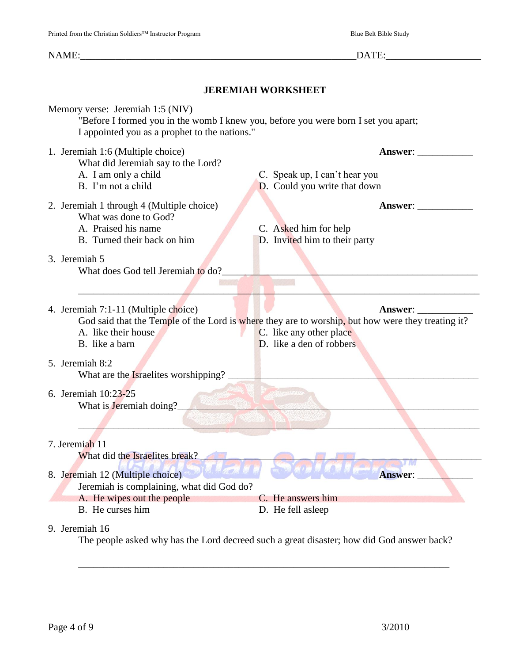NAME:\_\_\_\_\_\_\_\_\_\_\_\_\_\_\_\_\_\_\_\_\_\_\_\_\_\_\_\_\_\_\_\_\_\_\_\_\_\_\_\_\_\_\_\_\_\_\_\_\_\_\_\_\_\_\_DATE:\_\_\_\_\_\_\_\_\_\_\_\_\_\_\_\_\_\_\_ **JEREMIAH WORKSHEET** Memory verse: Jeremiah 1:5 (NIV) "Before I formed you in the womb I knew you, before you were born I set you apart; I appointed you as a prophet to the nations." 1. Jeremiah 1:6 (Multiple choice) **Answer**: \_\_\_\_\_\_\_\_\_\_\_ What did Jeremiah say to the Lord? A. I am only a child C. Speak up, I can't hear you B. I'm not a child **D.** Could you write that down 2. Jeremiah 1 through 4 (Multiple choice) **Answer**: \_\_\_\_\_\_\_\_\_\_\_ What was done to God? A. Praised his name C. Asked him for help B. Turned their back on him D. Invited him to their party 3. Jeremiah 5 What does God tell Jeremiah to do? \_\_\_\_\_\_\_\_\_\_\_\_\_\_\_\_\_\_\_\_\_\_\_\_\_\_\_\_\_\_\_\_\_\_\_\_\_\_\_\_\_\_\_\_\_\_\_\_\_\_\_\_\_\_\_\_\_\_\_\_\_\_\_\_\_\_\_\_\_\_\_\_\_\_\_\_\_\_\_\_ 4. Jeremiah 7:1-11 (Multiple choice) **Answer**: God said that the Temple of the Lord is where they are to worship, but how were they treating it? A. like their house C. like any other place B. like a barn D. like a den of robbers 5. Jeremiah 8:2 What are the Israelites worshipping? 6. Jeremiah 10:23-25 What is Jeremiah doing? \_\_\_\_\_\_\_\_\_\_\_\_\_\_\_\_\_\_\_\_\_\_\_\_\_\_\_\_\_\_\_\_\_\_\_\_\_\_\_\_\_\_\_\_\_\_\_\_\_\_\_\_\_\_\_\_\_\_\_\_\_\_\_\_\_\_\_\_\_\_\_\_\_\_\_\_\_\_\_\_ 7. Jeremiah 11 What did the Israelites break? 8. Jeremiah 12 (Multiple choice) **Answer:** Jeremiah is complaining, what did God do? A. He wipes out the people C. He answers him

9. Jeremiah 16

The people asked why has the Lord decreed such a great disaster; how did God answer back?

\_\_\_\_\_\_\_\_\_\_\_\_\_\_\_\_\_\_\_\_\_\_\_\_\_\_\_\_\_\_\_\_\_\_\_\_\_\_\_\_\_\_\_\_\_\_\_\_\_\_\_\_\_\_\_\_\_\_\_\_\_\_\_\_\_\_\_\_\_\_\_\_\_\_

B. He curses him D. He fell asleep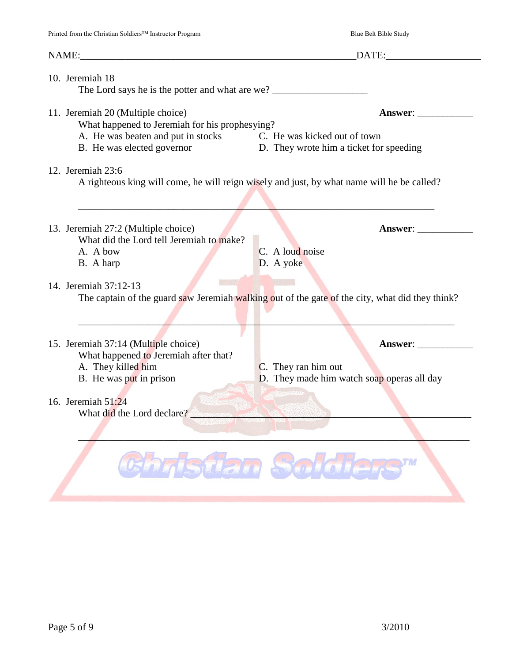|                                                                                                                                       | NAME: DATE:                                                                                     |  |
|---------------------------------------------------------------------------------------------------------------------------------------|-------------------------------------------------------------------------------------------------|--|
| 10. Jeremiah 18                                                                                                                       |                                                                                                 |  |
| 11. Jeremiah 20 (Multiple choice)<br>What happened to Jeremiah for his prophesying?                                                   | Answer:                                                                                         |  |
| A. He was beaten and put in stocks C. He was kicked out of town<br>B. He was elected governor D. They wrote him a ticket for speeding |                                                                                                 |  |
| 12. Jeremiah 23:6                                                                                                                     | A righteous king will come, he will reign wisely and just, by what name will he be called?      |  |
| 13. Jeremiah 27:2 (Multiple choice)<br>What did the Lord tell Jeremiah to make?                                                       | <b>Answer:</b> ______________                                                                   |  |
| A. A bow<br>B. A harp                                                                                                                 | C. A loud noise<br>D. A yoke                                                                    |  |
| 14. Jeremiah 37:12-13                                                                                                                 | The captain of the guard saw Jeremiah walking out of the gate of the city, what did they think? |  |
| 15. Jeremiah 37:14 (Multiple choice)                                                                                                  | Answer:                                                                                         |  |
| What happened to Jeremiah after that?<br>A. They killed him<br>B. He was put in prison                                                | C. They ran him out<br>D. They made him watch soap operas all day                               |  |
| 16. Jeremiah $51:24$<br>What did the Lord declare?                                                                                    | <b>ANTISECTARISM</b>                                                                            |  |
|                                                                                                                                       |                                                                                                 |  |
|                                                                                                                                       | Ghristian Soldiers"                                                                             |  |
|                                                                                                                                       |                                                                                                 |  |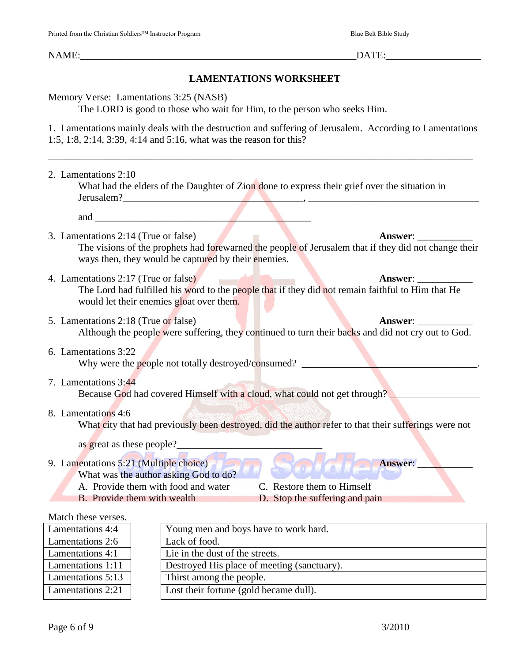# **LAMENTATIONS WORKSHEET**

Memory Verse: Lamentations 3:25 (NASB)

The LORD is good to those who wait for Him, to the person who seeks Him.

1. Lamentations mainly deals with the destruction and suffering of Jerusalem. According to Lamentations 1:5, 1:8, 2:14, 3:39, 4:14 and 5:16, what was the reason for this?

\_\_\_\_\_\_\_\_\_\_\_\_\_\_\_\_\_\_\_\_\_\_\_\_\_\_\_\_\_\_\_\_\_\_\_\_\_\_\_\_\_\_\_\_\_\_\_\_\_\_\_\_\_\_\_\_\_\_\_\_\_\_\_\_\_\_\_\_\_\_\_\_\_\_\_\_\_\_\_\_\_\_\_\_\_\_\_\_\_\_\_\_\_\_\_\_\_\_\_\_\_\_\_\_\_\_\_\_\_\_\_\_\_\_\_\_\_\_\_\_\_\_\_\_\_\_\_

2. Lamentations 2:10 What had the elders of the Daughter of Zion done to express their grief over the situation in Jerusalem?\_\_\_\_\_\_\_\_\_\_\_\_\_\_\_\_\_\_\_\_\_\_\_\_\_\_\_\_\_\_\_\_\_\_\_\_, \_\_\_\_\_\_\_\_\_\_\_\_\_\_\_\_\_\_\_\_\_\_\_\_\_\_\_\_\_\_\_\_\_\_ and  $\Box$ 3. Lamentations 2:14 (True or false) **Answer**: \_\_\_\_\_\_\_\_\_\_\_ The visions of the prophets had forewarned the people of Jerusalem that if they did not change their ways then, they would be captured by their enemies. 4. Lamentations 2:17 (True or false) **Answer**: The Lord had fulfilled his word to the people that if they did not remain faithful to Him that He would let their enemies gloat over them. 5. Lamentations 2:18 (True or false) **Answer**: Although the people were suffering, they continued to turn their backs and did not cry out to God. 6. Lamentations 3:22 Why were the people not totally destroyed/consumed? \_\_\_\_\_\_\_\_\_\_\_\_\_\_\_\_\_\_\_\_\_\_\_\_\_\_\_\_ 7. Lamentations 3:44 Because God had covered Himself with a cloud, what could not get through? 8. Lamentations 4:6 What city that had previously been destroyed, did the author refer to that their sufferings were not as great as these people? 9. Lamentations 5:21 (Multiple choice) **Answer:** What was the author asking God to do? A. Provide them with food and water C. Restore them to Himself B. Provide them with wealth D. Stop the suffering and pain Match these verses. Lamentations 4:4  $\vert$  Young men and boys have to work hard.

| Young men and boys have to work hard.       |
|---------------------------------------------|
| Lack of food.                               |
| Lie in the dust of the streets.             |
| Destroyed His place of meeting (sanctuary). |
| Thirst among the people.                    |
| Lost their fortune (gold became dull).      |
|                                             |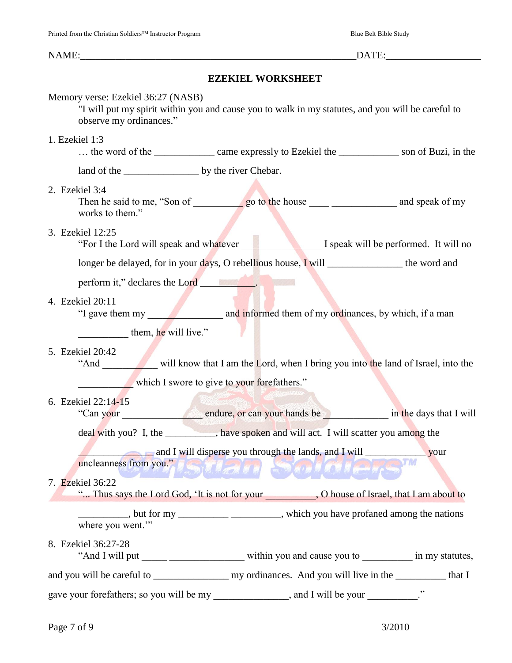### **EZEKIEL WORKSHEET**

#### Memory verse: Ezekiel 36:27 (NASB)

"I will put my spirit within you and cause you to walk in my statutes, and you will be careful to observe my ordinances."

#### 1. Ezekiel 1:3

... the word of the \_\_\_\_\_\_\_\_\_\_\_\_\_ came expressly to Ezekiel the \_\_\_\_\_\_\_\_\_\_\_\_ son of Buzi, in the

land of the \_\_\_\_\_\_\_\_\_\_\_\_\_\_\_ by the river Chebar.

#### 2. Ezekiel 3:4

Then he said to me, "Son of go to the house and speak of my works to them."

#### 3. Ezekiel 12:25

"For I the Lord will speak and whatever I speak will be performed. It will no

longer be delayed, for in your days, O rebellious house, I will the word and

perform it," declares the Lord \_\_\_\_\_\_\_\_\_\_\_.

#### 4. Ezekiel 20:11

"I gave them my and informed them of my ordinances, by which, if a man

**Example 11** them, he will live."

#### 5. Ezekiel 20:42

"And will know that I am the Lord, when I bring you into the land of Israel, into the which I swore to give to your forefathers."

# 6. Ezekiel 22:14-15

"Can your \_\_\_\_\_\_\_\_\_\_\_\_\_\_\_\_ endure, or can your hands be \_\_\_\_\_\_\_\_\_\_\_\_\_ in the days that I will deal with you? I, the \_\_\_\_\_\_\_\_\_\_, have spoken and will act. I will scatter you among the

and I will disperse you through the lands, and I will \_\_\_\_\_\_\_\_\_\_\_ your

# uncleanness from you." The state of the state of the state of the state of the state of the state of the state of the state of the state of the state of the state of the state of the state of the state of the state of the 7. Ezekiel 36:22

"... Thus says the Lord God, 'It is not for your \_\_\_\_\_\_\_\_\_\_, O house of Israel, that I am about to

 $\frac{1}{2}$ , but for my  $\frac{1}{2}$   $\frac{1}{2}$   $\frac{1}{2}$   $\frac{1}{2}$  which you have profaned among the nations where you went."

#### 8. Ezekiel 36:27-28

"And I will put \_\_\_\_\_\_\_\_\_\_\_\_\_\_\_\_\_\_\_\_\_\_\_\_\_\_ within you and cause you to \_\_\_\_\_\_\_\_\_\_\_\_\_ in my statutes,

and you will be careful to \_\_\_\_\_\_\_\_\_\_\_\_\_\_\_ my ordinances. And you will live in the \_\_\_\_\_\_\_\_\_\_ that I

gave your forefathers; so you will be my \_\_\_\_\_\_\_\_\_\_\_\_, and I will be your \_\_\_\_\_\_\_\_."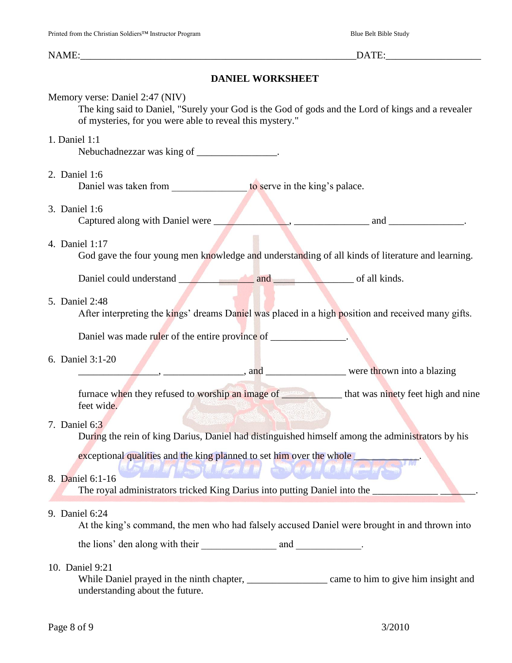# **DANIEL WORKSHEET**

| Memory verse: Daniel 2:47 (NIV)<br>The king said to Daniel, "Surely your God is the God of gods and the Lord of kings and a revealer<br>of mysteries, for you were able to reveal this mystery."                               |
|--------------------------------------------------------------------------------------------------------------------------------------------------------------------------------------------------------------------------------|
| 1. Daniel 1:1<br>Nebuchadnezzar was king of _______________.                                                                                                                                                                   |
| 2. Daniel 1:6<br>Daniel was taken from ______________________ to serve in the king's palace.                                                                                                                                   |
| 3. Daniel 1:6<br>Captured along with Daniel were 1. All 2003, 2004. The analysis and 2. All 2004 and 2.                                                                                                                        |
| 4. Daniel 1:17<br>God gave the four young men knowledge and understanding of all kinds of literature and learning.                                                                                                             |
| Daniel could understand and and of all kinds.                                                                                                                                                                                  |
| 5. Daniel 2:48<br>After interpreting the kings' dreams Daniel was placed in a high position and received many gifts.                                                                                                           |
| Daniel was made ruler of the entire province of _____________.                                                                                                                                                                 |
| 6. Daniel 3:1-20                                                                                                                                                                                                               |
| example, the contract of the contract of the contract of the contract of the contract of the contract of the contract of the contract of the contract of the contract of the contract of the contract of the contract of the c |
| furnace when they refused to worship an image of <u>the same of</u> that was ninety feet high and nine<br>feet wide.                                                                                                           |
| 7. Daniel 6:3<br>During the rein of king Darius, Daniel had distinguished himself among the administrators by his                                                                                                              |
| exceptional qualities and the king planned to set him over the whole                                                                                                                                                           |
| <b>EDED AND AND</b><br><b>BIS HEATH AT ALL</b><br>8. Daniel 6:1-16<br>The royal administrators tricked King Darius into putting Daniel into the                                                                                |
| 9. Daniel 6:24<br>At the king's command, the men who had falsely accused Daniel were brought in and thrown into                                                                                                                |
|                                                                                                                                                                                                                                |